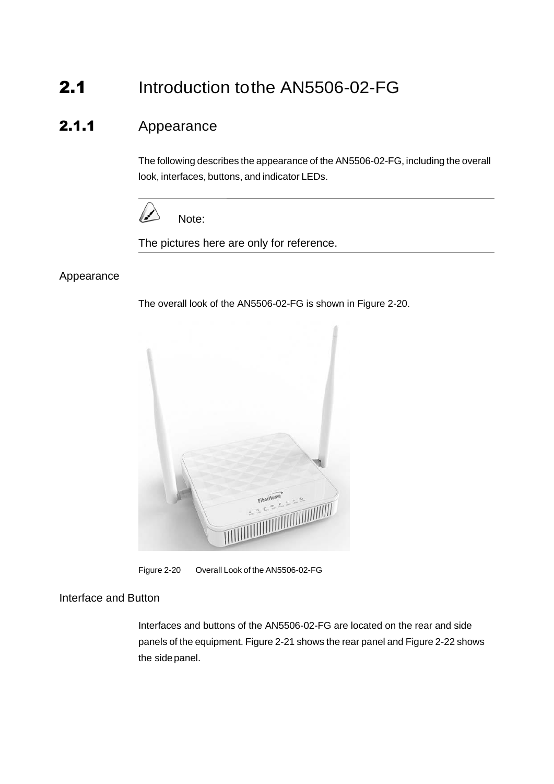# 2.1 Introduction to the AN5506-02-FG

## 2.1.1 Appearance

The following describes the appearance of the AN5506-02-FG, including the overall look, interfaces, buttons, and indicator LEDs.



The pictures here are only for reference.

#### Appearance

The overall look of the AN5506-02-FG is shown in [Figure 2-20.](#page-0-0)



Figure 2-20 Overall Look of the AN5506-02-FG

#### Interface and Button

<span id="page-0-0"></span>Interfaces and buttons of the AN5506-02-FG are located on the rear and side panels of the equipment. [Figure](#page-1-0) 2-21 shows the rear panel and [Figure](#page-1-1) 2-22 shows the sidepanel.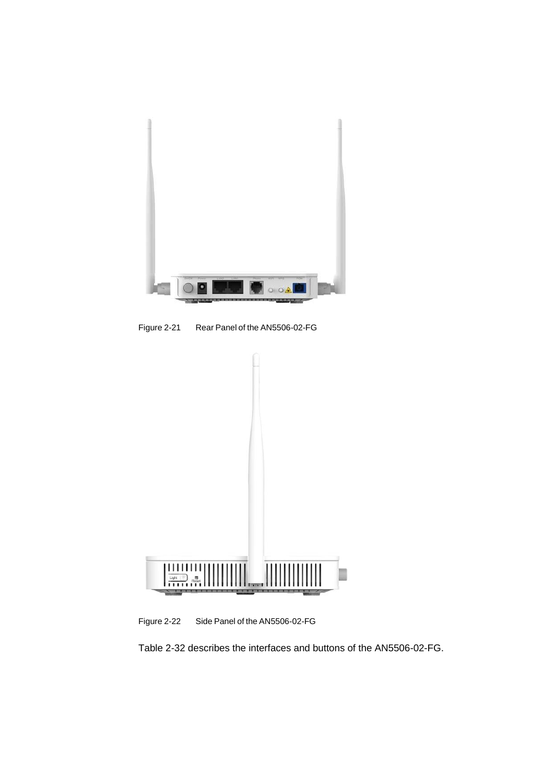

Figure 2-21 Rear Panel of the AN5506-02-FG

<span id="page-1-0"></span>

Figure 2-22 Side Panel of the AN5506-02-FG

<span id="page-1-1"></span>[Table 2-32](#page-2-0) describes the interfaces and buttons of the AN5506-02-FG.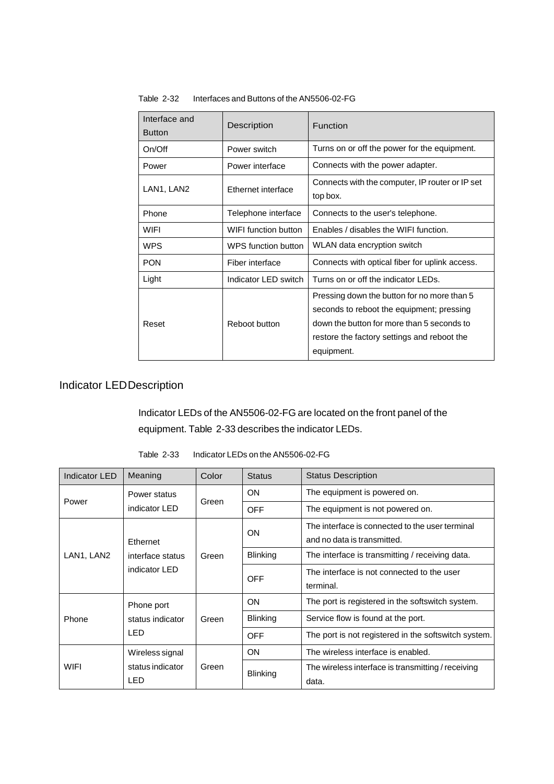| Interface and<br><b>Button</b> | Description          | Function                                                                                                                                                                                            |
|--------------------------------|----------------------|-----------------------------------------------------------------------------------------------------------------------------------------------------------------------------------------------------|
| On/Off                         | Power switch         | Turns on or off the power for the equipment.                                                                                                                                                        |
| Power                          | Power interface      | Connects with the power adapter.                                                                                                                                                                    |
| LAN1, LAN2                     | Ethernet interface   | Connects with the computer, IP router or IP set<br>top box.                                                                                                                                         |
| Phone                          | Telephone interface  | Connects to the user's telephone.                                                                                                                                                                   |
| <b>WIFI</b>                    | WIFI function button | Enables / disables the WIFI function.                                                                                                                                                               |
| <b>WPS</b>                     | WPS function button  | WLAN data encryption switch                                                                                                                                                                         |
| <b>PON</b>                     | Fiber interface      | Connects with optical fiber for uplink access.                                                                                                                                                      |
| Light                          | Indicator LED switch | Turns on or off the indicator LEDs.                                                                                                                                                                 |
| Reset                          | Reboot button        | Pressing down the button for no more than 5<br>seconds to reboot the equipment; pressing<br>down the button for more than 5 seconds to<br>restore the factory settings and reboot the<br>equipment. |

<span id="page-2-0"></span>Table 2-32 Interfaces and Buttons of the AN5506-02-FG

### Indicator LEDDescription

Indicator LEDs of the AN5506-02-FG are located on the front panel of the equipment. [Table](#page-2-1) 2-33 describes the indicator LEDs.

<span id="page-2-1"></span>

| Indicator LED       | Meaning                           | Color | <b>Status</b>   | <b>Status Description</b>                            |
|---------------------|-----------------------------------|-------|-----------------|------------------------------------------------------|
| Power               | Power status                      | Green | <b>ON</b>       | The equipment is powered on.                         |
|                     | indicator LED                     |       | <b>OFF</b>      | The equipment is not powered on.                     |
|                     |                                   | Green | <b>ON</b>       | The interface is connected to the user terminal      |
|                     | Ethernet                          |       |                 | and no data is transmitted.                          |
| LAN1, LAN2          | interface status<br>indicator LED |       | <b>Blinking</b> | The interface is transmitting / receiving data.      |
|                     |                                   |       | <b>OFF</b>      | The interface is not connected to the user           |
|                     |                                   |       |                 | terminal.                                            |
| Phone<br><b>LED</b> | Phone port<br>status indicator    | Green | ON              | The port is registered in the softswitch system.     |
|                     |                                   |       | <b>Blinking</b> | Service flow is found at the port.                   |
|                     |                                   |       | <b>OFF</b>      | The port is not registered in the softswitch system. |
| WIFI                | Wireless signal                   | Green | <b>ON</b>       | The wireless interface is enabled.                   |
|                     | status indicator                  |       | <b>Blinking</b> | The wireless interface is transmitting / receiving   |
|                     | LED                               |       |                 | data.                                                |

Table 2-33 Indicator LEDs on the AN5506-02-FG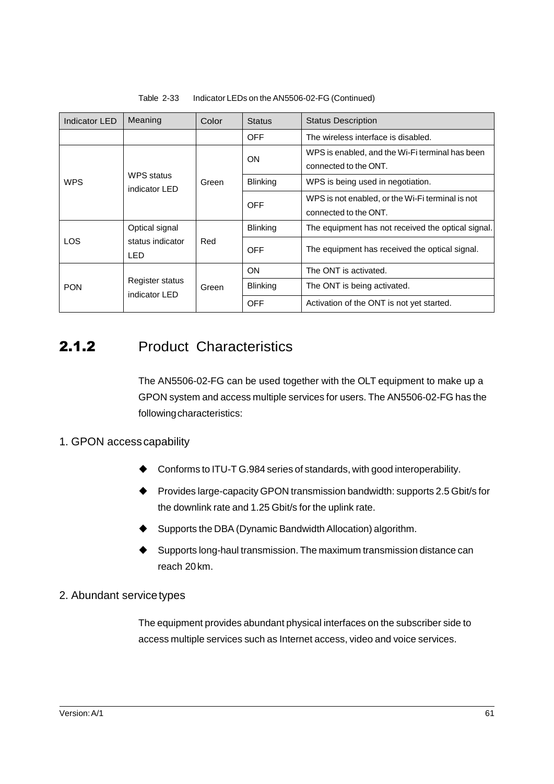| Indicator LED                                    | Meaning                                 | Color           | <b>Status</b>                                      | <b>Status Description</b>                                                 |
|--------------------------------------------------|-----------------------------------------|-----------------|----------------------------------------------------|---------------------------------------------------------------------------|
|                                                  |                                         |                 | <b>OFF</b>                                         | The wireless interface is disabled.                                       |
| <b>WPS</b>                                       |                                         | Green           | ON                                                 | WPS is enabled, and the Wi-Fi terminal has been<br>connected to the ONT.  |
|                                                  | <b>WPS</b> status<br>indicator LED      |                 | <b>Blinking</b>                                    | WPS is being used in negotiation.                                         |
|                                                  |                                         |                 | <b>OFF</b>                                         | WPS is not enabled, or the Wi-Fi terminal is not<br>connected to the ONT. |
| Optical signal<br>LOS<br>status indicator<br>LED | Red                                     | <b>Blinking</b> | The equipment has not received the optical signal. |                                                                           |
|                                                  |                                         | <b>OFF</b>      | The equipment has received the optical signal.     |                                                                           |
| <b>PON</b>                                       | <b>Register status</b><br>indicator LED | Green           | ON                                                 | The ONT is activated.                                                     |
|                                                  |                                         |                 | <b>Blinking</b>                                    | The ONT is being activated.                                               |
|                                                  |                                         |                 | <b>OFF</b>                                         | Activation of the ONT is not yet started.                                 |

#### Table 2-33 Indicator LEDs on the AN5506-02-FG (Continued)

### 2.1.2 Product Characteristics

The AN5506-02-FG can be used together with the OLT equipment to make up a GPON system and access multiple services for users. The AN5506-02-FG has the followingcharacteristics:

#### 1. GPON accesscapability

- ◆ Conforms to ITU-T G.984 series of standards, with good interoperability.
- ◆ Provides large-capacity GPON transmission bandwidth: supports 2.5 Gbit/s for the downlink rate and 1.25 Gbit/s for the uplink rate.
- Supports the DBA (Dynamic Bandwidth Allocation) algorithm.
- Supports long-haul transmission. The maximum transmission distance can reach 20km.

#### 2. Abundant servicetypes

The equipment provides abundant physical interfaces on the subscriber side to access multiple services such as Internet access, video and voice services.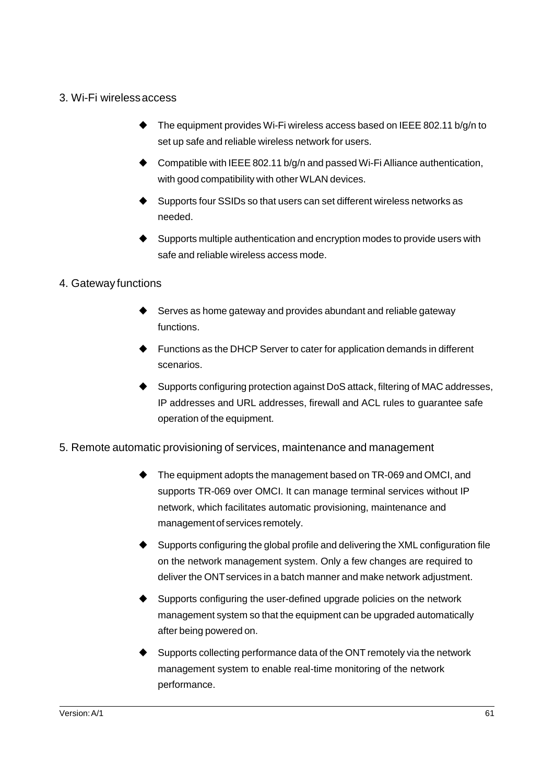#### 3. Wi-Fi wirelessaccess

- $\blacktriangleright$  The equipment provides Wi-Fi wireless access based on IEEE 802.11 b/g/n to set up safe and reliable wireless network for users.
- ◆ Compatible with IEEE 802.11 b/g/n and passed Wi-Fi Alliance authentication, with good compatibility with other WLAN devices.
- Supports four SSIDs so that users can set different wireless networks as needed.
- ♦ Supports multiple authentication and encryption modes to provide users with safe and reliable wireless access mode.

#### 4. Gateway functions

- Serves as home gateway and provides abundant and reliable gateway functions.
- Functions as the DHCP Server to cater for application demands in different scenarios.
- Supports configuring protection against DoS attack, filtering of MAC addresses, IP addresses and URL addresses, firewall and ACL rules to guarantee safe operation of the equipment.
- 5. Remote automatic provisioning of services, maintenance and management
	- The equipment adopts the management based on TR-069 and OMCI, and supports TR-069 over OMCI. It can manage terminal services without IP network, which facilitates automatic provisioning, maintenance and managementof services remotely.
	- Supports configuring the global profile and delivering the XML configuration file on the network management system. Only a few changes are required to deliver the ONT services in a batch manner and make network adjustment.
	- Supports configuring the user-defined upgrade policies on the network management system so that the equipment can be upgraded automatically after being powered on.
	- Supports collecting performance data of the ONT remotely via the network management system to enable real-time monitoring of the network performance.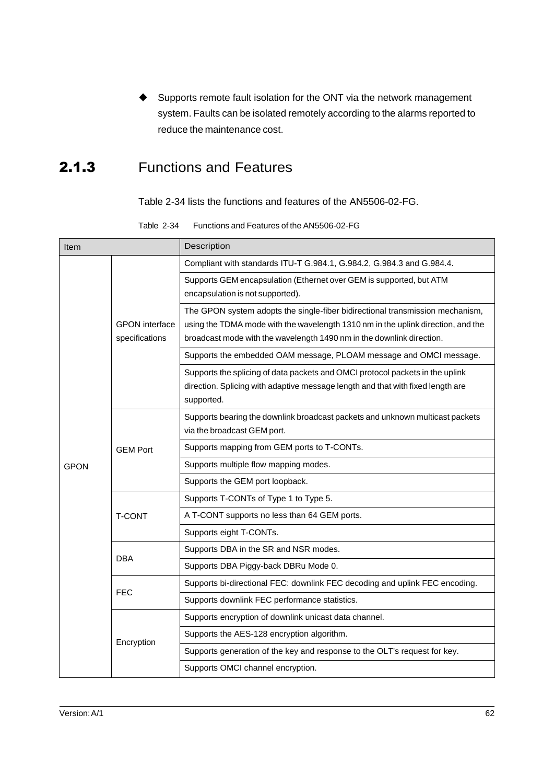Supports remote fault isolation for the ONT via the network management system. Faults can be isolated remotely according to the alarms reported to reduce the maintenance cost.

## 2.1.3 Functions and Features

[Table 2-34](#page-5-0) lists the functions and features of the AN5506-02-FG.

Table 2-34 Functions and Features of the AN5506-02-FG

<span id="page-5-0"></span>

| Item        |                                         | Description                                                                                                                                                                                                                                |  |  |  |
|-------------|-----------------------------------------|--------------------------------------------------------------------------------------------------------------------------------------------------------------------------------------------------------------------------------------------|--|--|--|
|             |                                         | Compliant with standards ITU-T G.984.1, G.984.2, G.984.3 and G.984.4.                                                                                                                                                                      |  |  |  |
|             | <b>GPON</b> interface<br>specifications | Supports GEM encapsulation (Ethernet over GEM is supported, but ATM<br>encapsulation is not supported).                                                                                                                                    |  |  |  |
|             |                                         | The GPON system adopts the single-fiber bidirectional transmission mechanism,<br>using the TDMA mode with the wavelength 1310 nm in the uplink direction, and the<br>broadcast mode with the wavelength 1490 nm in the downlink direction. |  |  |  |
|             |                                         | Supports the embedded OAM message, PLOAM message and OMCI message.                                                                                                                                                                         |  |  |  |
|             |                                         | Supports the splicing of data packets and OMCI protocol packets in the uplink<br>direction. Splicing with adaptive message length and that with fixed length are<br>supported.                                                             |  |  |  |
|             |                                         | Supports bearing the downlink broadcast packets and unknown multicast packets<br>via the broadcast GEM port.                                                                                                                               |  |  |  |
|             | <b>GEM Port</b>                         | Supports mapping from GEM ports to T-CONTs.                                                                                                                                                                                                |  |  |  |
| <b>GPON</b> |                                         | Supports multiple flow mapping modes.                                                                                                                                                                                                      |  |  |  |
|             |                                         | Supports the GEM port loopback.                                                                                                                                                                                                            |  |  |  |
|             |                                         | Supports T-CONTs of Type 1 to Type 5.                                                                                                                                                                                                      |  |  |  |
|             | <b>T-CONT</b>                           | A T-CONT supports no less than 64 GEM ports.                                                                                                                                                                                               |  |  |  |
|             |                                         | Supports eight T-CONTs.                                                                                                                                                                                                                    |  |  |  |
|             | <b>DBA</b>                              | Supports DBA in the SR and NSR modes.                                                                                                                                                                                                      |  |  |  |
|             |                                         | Supports DBA Piggy-back DBRu Mode 0.                                                                                                                                                                                                       |  |  |  |
|             | <b>FEC</b>                              | Supports bi-directional FEC: downlink FEC decoding and uplink FEC encoding.                                                                                                                                                                |  |  |  |
|             |                                         | Supports downlink FEC performance statistics.                                                                                                                                                                                              |  |  |  |
|             |                                         | Supports encryption of downlink unicast data channel.                                                                                                                                                                                      |  |  |  |
|             | Encryption                              | Supports the AES-128 encryption algorithm.                                                                                                                                                                                                 |  |  |  |
|             |                                         | Supports generation of the key and response to the OLT's request for key.                                                                                                                                                                  |  |  |  |
|             |                                         | Supports OMCI channel encryption.                                                                                                                                                                                                          |  |  |  |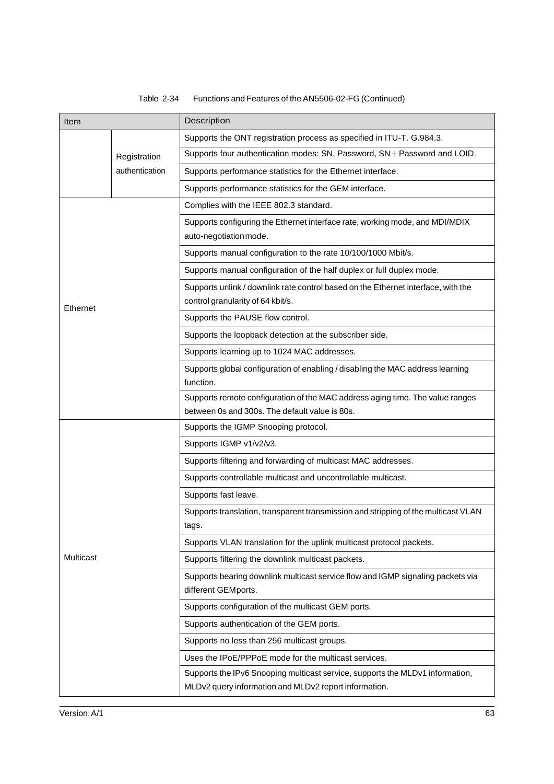#### Table 2-34 Functions and Features of the AN5506-02-FG (Continued)

| Item                           |  | Description                                                                                                                            |  |  |
|--------------------------------|--|----------------------------------------------------------------------------------------------------------------------------------------|--|--|
|                                |  | Supports the ONT registration process as specified in ITU-T. G.984.3.                                                                  |  |  |
| Registration<br>authentication |  | Supports four authentication modes: SN, Password, SN + Password and LOID.                                                              |  |  |
|                                |  | Supports performance statistics for the Ethernet interface.                                                                            |  |  |
|                                |  | Supports performance statistics for the GEM interface.                                                                                 |  |  |
|                                |  | Complies with the IEEE 802.3 standard.                                                                                                 |  |  |
|                                |  | Supports configuring the Ethernet interface rate, working mode, and MDI/MDIX<br>auto-negotiation mode.                                 |  |  |
|                                |  | Supports manual configuration to the rate 10/100/1000 Mbit/s.                                                                          |  |  |
|                                |  | Supports manual configuration of the half duplex or full duplex mode.                                                                  |  |  |
| Ethernet                       |  | Supports unlink / downlink rate control based on the Ethernet interface, with the<br>control granularity of 64 kbit/s.                 |  |  |
|                                |  | Supports the PAUSE flow control.                                                                                                       |  |  |
|                                |  | Supports the loopback detection at the subscriber side.                                                                                |  |  |
|                                |  | Supports learning up to 1024 MAC addresses.                                                                                            |  |  |
|                                |  | Supports global configuration of enabling / disabling the MAC address learning<br>function.                                            |  |  |
|                                |  | Supports remote configuration of the MAC address aging time. The value ranges<br>between 0s and 300s. The default value is 80s.        |  |  |
|                                |  | Supports the IGMP Snooping protocol.                                                                                                   |  |  |
|                                |  | Supports IGMP v1/v2/v3.                                                                                                                |  |  |
|                                |  | Supports filtering and forwarding of multicast MAC addresses.                                                                          |  |  |
|                                |  | Supports controllable multicast and uncontrollable multicast.                                                                          |  |  |
|                                |  | Supports fast leave.                                                                                                                   |  |  |
|                                |  | Supports translation, transparent transmission and stripping of the multicast VLAN<br>tags.                                            |  |  |
|                                |  | Supports VLAN translation for the uplink multicast protocol packets.                                                                   |  |  |
| Multicast                      |  | Supports filtering the downlink multicast packets.                                                                                     |  |  |
|                                |  | Supports bearing downlink multicast service flow and IGMP signaling packets via<br>different GEMports.                                 |  |  |
|                                |  | Supports configuration of the multicast GEM ports.                                                                                     |  |  |
|                                |  | Supports authentication of the GEM ports.                                                                                              |  |  |
|                                |  | Supports no less than 256 multicast groups.                                                                                            |  |  |
|                                |  | Uses the IPoE/PPPoE mode for the multicast services.                                                                                   |  |  |
|                                |  | Supports the IPv6 Snooping multicast service, supports the MLDv1 information,<br>MLDv2 query information and MLDv2 report information. |  |  |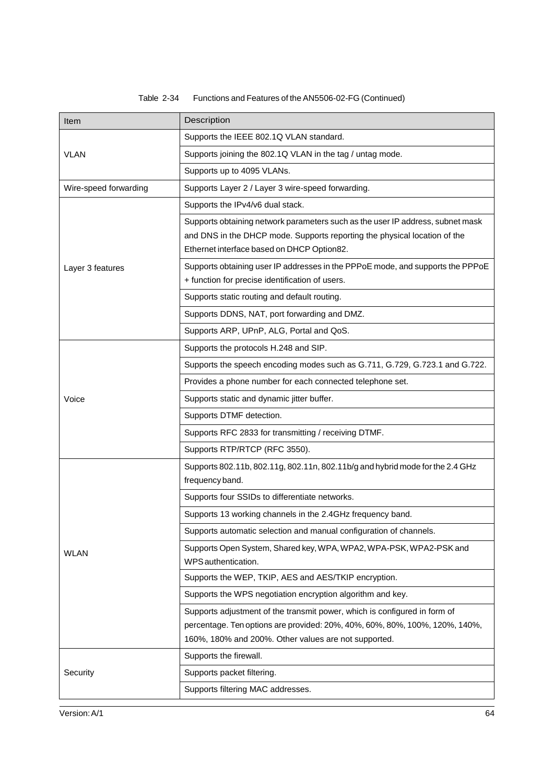#### Table 2-34 Functions and Features of the AN5506-02-FG (Continued)

| Item                  | Description                                                                                                                                                                                                      |  |  |
|-----------------------|------------------------------------------------------------------------------------------------------------------------------------------------------------------------------------------------------------------|--|--|
|                       | Supports the IEEE 802.1Q VLAN standard.                                                                                                                                                                          |  |  |
| <b>VLAN</b>           | Supports joining the 802.1Q VLAN in the tag / untag mode.                                                                                                                                                        |  |  |
|                       | Supports up to 4095 VLANs.                                                                                                                                                                                       |  |  |
| Wire-speed forwarding | Supports Layer 2 / Layer 3 wire-speed forwarding.                                                                                                                                                                |  |  |
|                       | Supports the IPv4/v6 dual stack.                                                                                                                                                                                 |  |  |
|                       | Supports obtaining network parameters such as the user IP address, subnet mask<br>and DNS in the DHCP mode. Supports reporting the physical location of the<br>Ethernet interface based on DHCP Option82.        |  |  |
| Layer 3 features      | Supports obtaining user IP addresses in the PPPoE mode, and supports the PPPoE                                                                                                                                   |  |  |
|                       | + function for precise identification of users.                                                                                                                                                                  |  |  |
|                       | Supports static routing and default routing.                                                                                                                                                                     |  |  |
|                       | Supports DDNS, NAT, port forwarding and DMZ.                                                                                                                                                                     |  |  |
|                       | Supports ARP, UPnP, ALG, Portal and QoS.                                                                                                                                                                         |  |  |
|                       | Supports the protocols H.248 and SIP.                                                                                                                                                                            |  |  |
|                       | Supports the speech encoding modes such as G.711, G.729, G.723.1 and G.722.                                                                                                                                      |  |  |
|                       | Provides a phone number for each connected telephone set.                                                                                                                                                        |  |  |
| Voice                 | Supports static and dynamic jitter buffer.                                                                                                                                                                       |  |  |
|                       | Supports DTMF detection.                                                                                                                                                                                         |  |  |
|                       | Supports RFC 2833 for transmitting / receiving DTMF.                                                                                                                                                             |  |  |
|                       | Supports RTP/RTCP (RFC 3550).                                                                                                                                                                                    |  |  |
|                       | Supports 802.11b, 802.11g, 802.11n, 802.11b/g and hybrid mode for the 2.4 GHz<br>frequency band.                                                                                                                 |  |  |
|                       | Supports four SSIDs to differentiate networks.                                                                                                                                                                   |  |  |
|                       | Supports 13 working channels in the 2.4GHz frequency band.                                                                                                                                                       |  |  |
|                       | Supports automatic selection and manual configuration of channels.                                                                                                                                               |  |  |
| <b>WLAN</b>           | Supports Open System, Shared key, WPA, WPA2, WPA-PSK, WPA2-PSK and<br>WPS authentication.                                                                                                                        |  |  |
|                       | Supports the WEP, TKIP, AES and AES/TKIP encryption.                                                                                                                                                             |  |  |
|                       | Supports the WPS negotiation encryption algorithm and key.                                                                                                                                                       |  |  |
|                       | Supports adjustment of the transmit power, which is configured in form of<br>percentage. Ten options are provided: 20%, 40%, 60%, 80%, 100%, 120%, 140%,<br>160%, 180% and 200%. Other values are not supported. |  |  |
|                       | Supports the firewall.                                                                                                                                                                                           |  |  |
| Security              | Supports packet filtering.                                                                                                                                                                                       |  |  |
|                       | Supports filtering MAC addresses.                                                                                                                                                                                |  |  |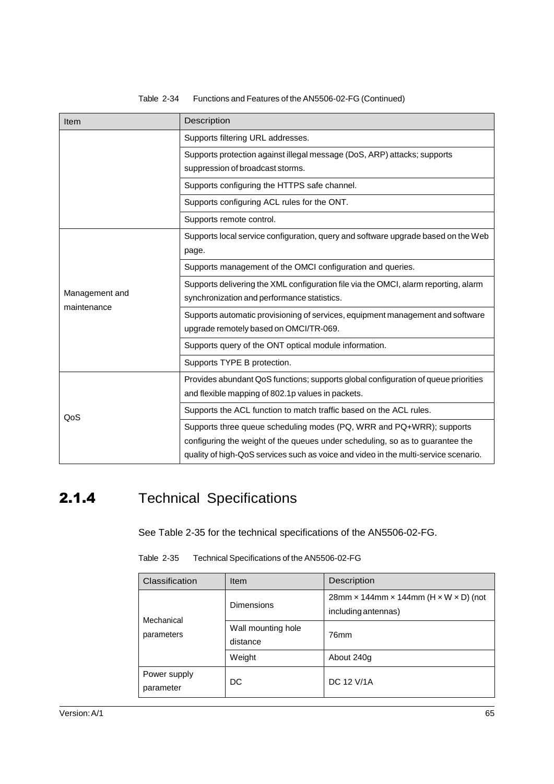| Item           | Description                                                                                                                                                                                                                                  |  |  |
|----------------|----------------------------------------------------------------------------------------------------------------------------------------------------------------------------------------------------------------------------------------------|--|--|
|                | Supports filtering URL addresses.                                                                                                                                                                                                            |  |  |
|                | Supports protection against illegal message (DoS, ARP) attacks; supports<br>suppression of broadcast storms.                                                                                                                                 |  |  |
|                | Supports configuring the HTTPS safe channel.                                                                                                                                                                                                 |  |  |
|                | Supports configuring ACL rules for the ONT.                                                                                                                                                                                                  |  |  |
|                | Supports remote control.                                                                                                                                                                                                                     |  |  |
|                | Supports local service configuration, query and software upgrade based on the Web<br>page.                                                                                                                                                   |  |  |
|                | Supports management of the OMCI configuration and queries.                                                                                                                                                                                   |  |  |
| Management and | Supports delivering the XML configuration file via the OMCI, alarm reporting, alarm<br>synchronization and performance statistics.                                                                                                           |  |  |
| maintenance    | Supports automatic provisioning of services, equipment management and software<br>upgrade remotely based on OMCI/TR-069.                                                                                                                     |  |  |
|                | Supports query of the ONT optical module information.                                                                                                                                                                                        |  |  |
|                | Supports TYPE B protection.                                                                                                                                                                                                                  |  |  |
|                | Provides abundant QoS functions; supports global configuration of queue priorities<br>and flexible mapping of 802.1p values in packets.                                                                                                      |  |  |
| QoS            | Supports the ACL function to match traffic based on the ACL rules.                                                                                                                                                                           |  |  |
|                | Supports three queue scheduling modes (PQ, WRR and PQ+WRR); supports<br>configuring the weight of the queues under scheduling, so as to guarantee the<br>quality of high-QoS services such as voice and video in the multi-service scenario. |  |  |

#### Table 2-34 Functions and Features of the AN5506-02-FG (Continued)

# <span id="page-8-0"></span>2.1.4 Technical Specifications

See [Table 2-35](#page-8-0) for the technical specifications of the AN5506-02-FG.

| Table 2-35 | Technical Specifications of the AN5506-02-FG |
|------------|----------------------------------------------|
|            |                                              |

| Classification            | Item                           | Description                                                     |
|---------------------------|--------------------------------|-----------------------------------------------------------------|
| Mechanical<br>parameters  | <b>Dimensions</b>              | $28$ mm x 144mm x 144mm (H x W x D) (not<br>including antennas) |
|                           | Wall mounting hole<br>distance | 76mm                                                            |
|                           | Weight                         | About 240g                                                      |
| Power supply<br>parameter | DC                             | DC 12 V/1A                                                      |